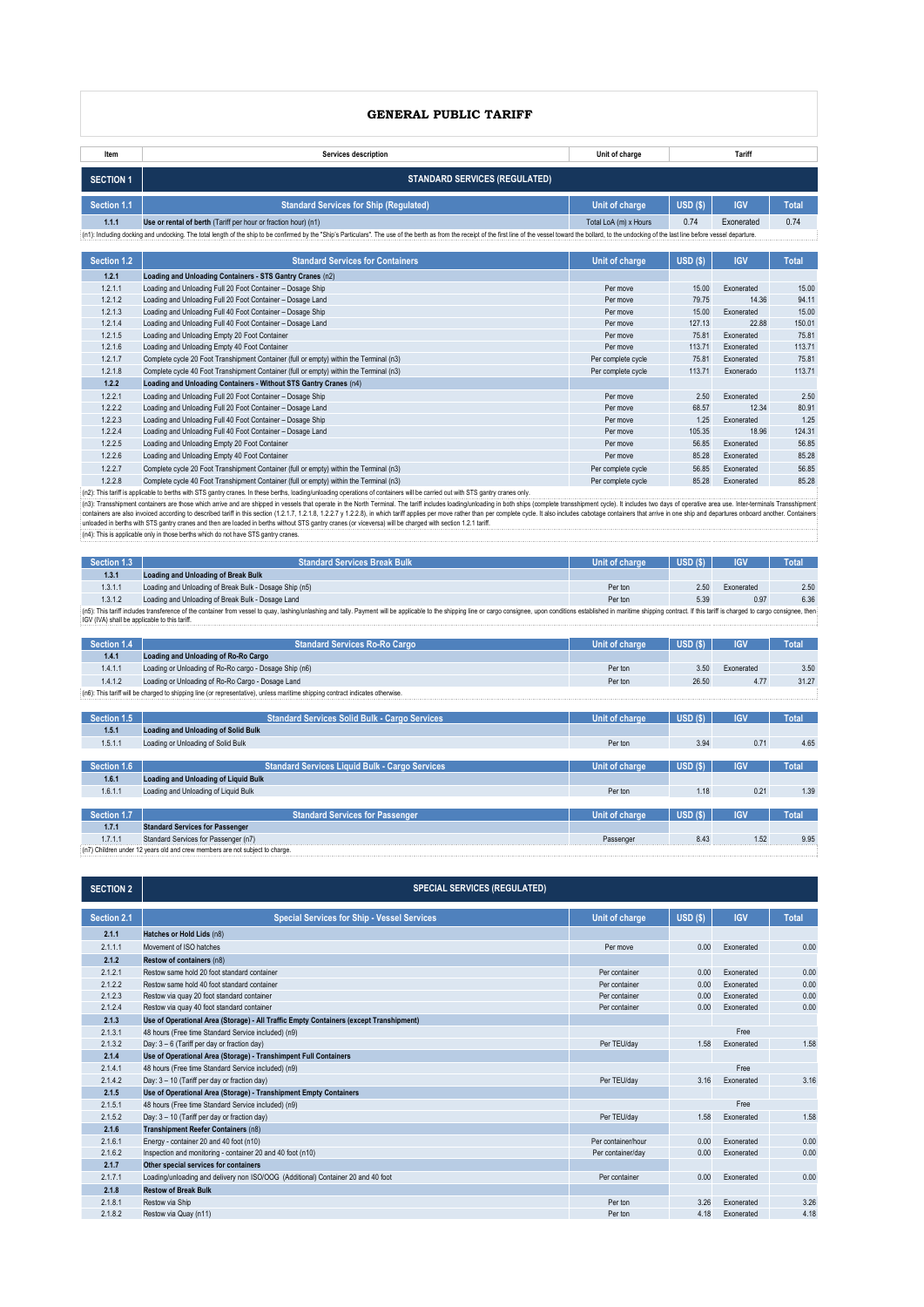# **GENERAL PUBLIC TARIFF**

| Tariff<br><b>Services description</b><br>Unit of charge<br>Item<br><b>STANDARD SERVICES (REGULATED)</b><br><b>SECTION 1</b><br><b>IGV</b><br>Section 1.1<br>USD <sub>(\$)</sub><br><b>Standard Services for Ship (Regulated)</b><br>Unit of charge | <b>Total</b><br>0.74 |
|----------------------------------------------------------------------------------------------------------------------------------------------------------------------------------------------------------------------------------------------------|----------------------|
|                                                                                                                                                                                                                                                    |                      |
|                                                                                                                                                                                                                                                    |                      |
|                                                                                                                                                                                                                                                    |                      |
| 0.74<br>Exonerated<br>1.1.1<br>Use or rental of berth (Tariff per hour or fraction hour) (n1)<br>Total LoA (m) x Hours                                                                                                                             |                      |
| (n1): Including docking and undocking. The total length of the ship to be confirmed by the "Ship's Particulars". The use of the berth as from the receipt of the first line of the vessel doward the bollard, to the undocking                     |                      |
|                                                                                                                                                                                                                                                    |                      |
| Section 1.2<br>USD(<br><b>IGV</b><br><b>Standard Services for Containers</b><br><b>Unit of charge</b>                                                                                                                                              | <b>Total</b>         |
| 1.2.1<br>Loading and Unloading Containers - STS Gantry Cranes (n2)                                                                                                                                                                                 |                      |
| 1.2.1.1<br>Loading and Unloading Full 20 Foot Container - Dosage Ship<br>Per move<br>15.00<br>Exonerated                                                                                                                                           | 15.00                |
| 1.2.1.2<br>Loading and Unloading Full 20 Foot Container - Dosage Land<br>79.75<br>14.36<br>Per move                                                                                                                                                | 94.11                |
| 1.2.1.3<br>Loading and Unloading Full 40 Foot Container - Dosage Ship<br>15.00<br>Exonerated<br>Per move                                                                                                                                           | 15.00                |
| 1.2.1.4<br>127.13<br>22.88<br>Loading and Unloading Full 40 Foot Container - Dosage Land<br>Per move                                                                                                                                               | 150.01               |
| 1.2.1.5<br>Loading and Unloading Empty 20 Foot Container<br>75.81<br>Per move<br>Exonerated                                                                                                                                                        | 75.81                |
| 1.2.1.6<br>Per move<br>113.71<br>Loading and Unloading Empty 40 Foot Container<br>Exonerated                                                                                                                                                       | 113.71               |
| 1.2.1.7<br>Complete cycle 20 Foot Transhipment Container (full or empty) within the Terminal (n3)<br>75.81<br>Per complete cycle<br>Exonerated                                                                                                     | 75.81                |
| 1.2.1.8<br>Complete cycle 40 Foot Transhipment Container (full or empty) within the Terminal (n3)<br>Per complete cycle<br>113.71<br>Exonerado                                                                                                     | 113.71               |
| 1.2.2<br>Loading and Unloading Containers - Without STS Gantry Cranes (n4)                                                                                                                                                                         |                      |
| 2.50<br>1.2.2.1<br>Loading and Unloading Full 20 Foot Container - Dosage Ship<br>Per move<br>Exonerated                                                                                                                                            | 2.50                 |
| 1.2.2.2<br>Loading and Unloading Full 20 Foot Container - Dosage Land<br>68.57<br>12.34<br>Per move                                                                                                                                                | 80.91                |
| 1.2.2.3<br>Loading and Unloading Full 40 Foot Container - Dosage Ship<br>Per move<br>1.25<br>Exonerated                                                                                                                                            | 1.25                 |
| 1.2.2.4<br>105.35<br>18.96<br>Loading and Unloading Full 40 Foot Container - Dosage Land<br>Per move                                                                                                                                               | 124.31               |
| 1.2.2.5<br>56.85<br>Loading and Unloading Empty 20 Foot Container<br>Per move<br>Exonerated                                                                                                                                                        | 56.85                |
| 1.2.2.6<br>Loading and Unloading Empty 40 Foot Container<br>Per move<br>85.28<br>Exonerated                                                                                                                                                        | 85.28                |
| 1.2.2.7<br>56.85<br>Complete cycle 20 Foot Transhipment Container (full or empty) within the Terminal (n3)<br>Per complete cycle<br>Exonerated                                                                                                     | 56.85                |
| 1.2.2.8<br>Complete cycle 40 Foot Transhipment Container (full or empty) within the Terminal (n3)<br>85.28<br>Per complete cycle<br>Exonerated                                                                                                     | 85.28                |

1.2.2.8 Complete cycle 40 Foot Transhipment Container (full or empty) within the Terminal (n3)<br>(n2): This sapifact the best of the search is these best hat operation and results and results of containers will be carried ou

| Section 1.3                                                                                                                                                                                                                    | <b>Standard Services Break Bulk</b>                    | Unit of charge | USD (S) | <b>IGV</b> | Total |  |  |
|--------------------------------------------------------------------------------------------------------------------------------------------------------------------------------------------------------------------------------|--------------------------------------------------------|----------------|---------|------------|-------|--|--|
| 1.3.1                                                                                                                                                                                                                          | Loading and Unloading of Break Bulk                    |                |         |            |       |  |  |
| 1.3.1.1                                                                                                                                                                                                                        | Loading and Unloading of Break Bulk - Dosage Ship (n5) | Per ton        | 2.50    | Exonerated | 2.50  |  |  |
| 1.3.1.2                                                                                                                                                                                                                        | Loading and Unloading of Break Bulk - Dosage Land      | Per ton        | 5.39    | 0.97       | 6.36  |  |  |
| (n5): This tariff includes transference of the container from vessel to quay, lashing/unlashing and tally. Payment will be applicable to the shipping line or cargo consignee, upon conditions established in maritime shippin |                                                        |                |         |            |       |  |  |
|                                                                                                                                                                                                                                | IGV (IVA) shall be applicable to this tariff.          |                |         |            |       |  |  |

| Section 1.4<br><b>Standard Services Ro-Ro Cargo</b>                                                                            | Unit of charge | USD(S)              | <b>IGV</b> | Total        |  |  |
|--------------------------------------------------------------------------------------------------------------------------------|----------------|---------------------|------------|--------------|--|--|
| Loading and Unloading of Ro-Ro Cargo<br>1.4.1                                                                                  |                |                     |            |              |  |  |
| 1.4.1.1<br>Loading or Unloading of Ro-Ro cargo - Dosage Ship (n6)                                                              | Per ton        | 3.50                | Exonerated | 3.50         |  |  |
| 1.4.1.2<br>Loading or Unloading of Ro-Ro Cargo - Dosage Land                                                                   | Per ton        | 26.50               | 4.77       | 31.27        |  |  |
| (n6): This tariff will be charged to shipping line (or representative), unless maritime shipping contract indicates otherwise. |                |                     |            |              |  |  |
|                                                                                                                                |                |                     |            |              |  |  |
| Section 1.5<br><b>Standard Services Solid Bulk - Cargo Services</b>                                                            | Unit of charge | USD(S)              | <b>IGV</b> | <b>Total</b> |  |  |
| 1.5.1<br><b>Loading and Unloading of Solid Bulk</b>                                                                            |                |                     |            |              |  |  |
| Loading or Unloading of Solid Bulk<br>1.5.1.1                                                                                  | Per ton        | 3.94                | 0.71       | 4.65         |  |  |
|                                                                                                                                |                |                     |            |              |  |  |
| Section 1.6<br><b>Standard Services Liquid Bulk - Cargo Services</b>                                                           | Unit of charge | USD(S)              | <b>IGV</b> | <b>Total</b> |  |  |
| 1.6.1<br>Loading and Unloading of Liquid Bulk                                                                                  |                |                     |            |              |  |  |
| 1.6.1.1<br>Loading and Unloading of Liquid Bulk                                                                                | Per ton        | 1.18                | 0.21       | 1.39         |  |  |
|                                                                                                                                |                |                     |            |              |  |  |
| Section 1.7<br><b>Standard Services for Passenger</b>                                                                          | Unit of charge | USD <sub>(\$)</sub> | <b>IGV</b> | Total        |  |  |
| <b>Standard Services for Passenger</b><br>1.7.1                                                                                |                |                     |            |              |  |  |
| Standard Services for Passenger (n7)<br>1.7.1.1                                                                                | Passenger      | 8.43                |            | 9.95         |  |  |
| (n7) Children under 12 years old and crew members are not subject to charge.                                                   |                |                     |            |              |  |  |

| <b>SECTION 2</b> | <b>SPECIAL SERVICES (REGULATED)</b>                                                    |                    |        |            |              |
|------------------|----------------------------------------------------------------------------------------|--------------------|--------|------------|--------------|
| Section 2.1      | <b>Special Services for Ship - Vessel Services</b>                                     | Unit of charge     | USD(S) | <b>IGV</b> | <b>Total</b> |
| 2.1.1            | Hatches or Hold Lids (n8)                                                              |                    |        |            |              |
| 2.1.1.1          | Movement of ISO hatches                                                                | Per move           | 0.00   | Exonerated | 0.00         |
| 2.1.2            | Restow of containers (n8)                                                              |                    |        |            |              |
| 2.1.2.1          | Restow same hold 20 foot standard container                                            | Per container      | 0.00   | Exonerated | 0.00         |
| 2.1.2.2          | Restow same hold 40 foot standard container                                            | Per container      | 0.00   | Exonerated | 0.00         |
| 2.1.2.3          | Restow via quay 20 foot standard container                                             | Per container      | 0.00   | Exonerated | 0.00         |
| 2.1.2.4          | Restow via quay 40 foot standard container                                             | Per container      | 0.00   | Exonerated | 0.00         |
| 2.1.3            | Use of Operational Area (Storage) - All Traffic Empty Containers (except Transhipment) |                    |        |            |              |
| 2.1.3.1          | 48 hours (Free time Standard Service included) (n9)                                    |                    |        | Free       |              |
| 2.1.3.2          | Day: 3 - 6 (Tariff per day or fraction day)                                            | Per TEU/dav        | 1.58   | Exonerated | 1.58         |
| 2.1.4            | Use of Operational Area (Storage) - Transhimpent Full Containers                       |                    |        |            |              |
| 2.1.4.1          | 48 hours (Free time Standard Service included) (n9)                                    |                    |        | Free       |              |
| 2.1.4.2          | Day: 3 - 10 (Tariff per day or fraction day)                                           | Per TEU/day        | 3.16   | Exonerated | 3.16         |
| 2.1.5            | Use of Operational Area (Storage) - Transhipment Empty Containers                      |                    |        |            |              |
| 2.1.5.1          | 48 hours (Free time Standard Service included) (n9)                                    |                    |        | Free       |              |
| 2.1.5.2          | Day: 3 - 10 (Tariff per day or fraction day)                                           | Per TEU/day        | 1.58   | Exonerated | 1.58         |
| 2.1.6            | Transhipment Reefer Containers (n8)                                                    |                    |        |            |              |
| 2.1.6.1          | Energy - container 20 and 40 foot (n10)                                                | Per container/hour | 0.00   | Exonerated | 0.00         |
| 2.1.6.2          | Inspection and monitoring - container 20 and 40 foot (n10)                             | Per container/dav  | 0.00   | Exonerated | 0.00         |
| 2.1.7            | Other special services for containers                                                  |                    |        |            |              |
| 2.1.7.1          | Loading/unloading and delivery non ISO/OOG (Additional) Container 20 and 40 foot       | Per container      | 0.00   | Exonerated | 0.00         |
| 2.1.8            | <b>Restow of Break Bulk</b>                                                            |                    |        |            |              |
| 2.1.8.1          | Restow via Ship                                                                        | Per ton            | 3.26   | Exonerated | 3.26         |
| 2.1.8.2          | Restow via Quay (n11)                                                                  | Per ton            | 4.18   | Exonerated | 4.18         |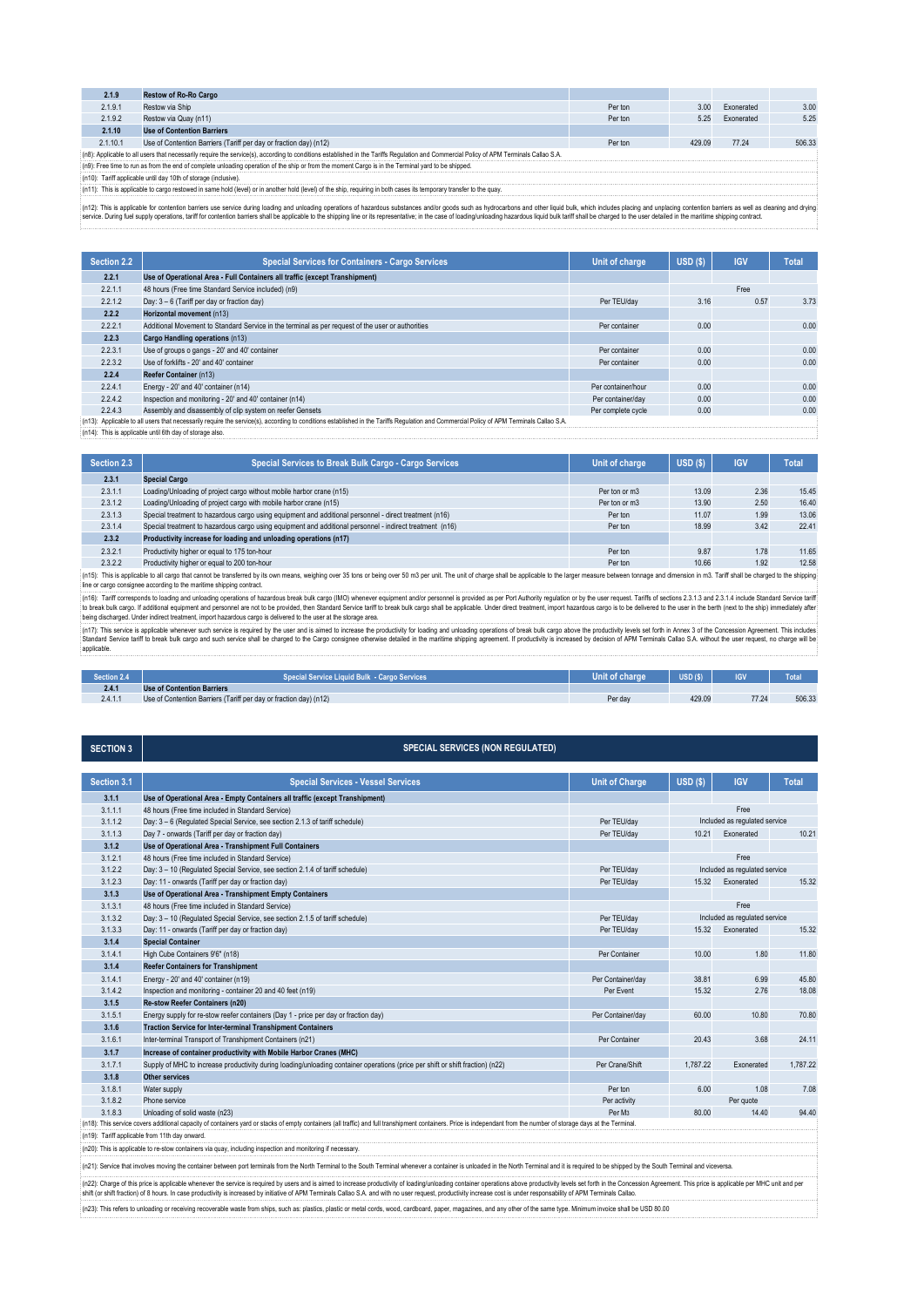| 2.1.9                                                           | <b>Restow of Ro-Ro Cargo</b>                                                                                                                                                           |         |        |            |        |  |
|-----------------------------------------------------------------|----------------------------------------------------------------------------------------------------------------------------------------------------------------------------------------|---------|--------|------------|--------|--|
| 2.1.9.1                                                         | Restow via Ship                                                                                                                                                                        | Per ton | 3.00   | Exonerated | 3.00   |  |
| 2.1.9.2                                                         | Restow via Quay (n11)                                                                                                                                                                  | Per ton | 5.25   | Exonerated | 5.25   |  |
| 2.1.10                                                          | <b>Use of Contention Barriers</b>                                                                                                                                                      |         |        |            |        |  |
| 2.1.10.1                                                        | Use of Contention Barriers (Tariff per day or fraction day) (n12)                                                                                                                      | Per ton | 429.09 | 77.24      | 506.33 |  |
|                                                                 | na): Applicable to all users that necessarily require the service(s), according to conditions established in the Tariffs Regulation and Commercial Policy of APM Terminals Callao S.A. |         |        |            |        |  |
|                                                                 | (n9): Free time to run as from the end of complete unloading operation of the ship or from the moment Cargo is in the Terminal yard to be shipped.                                     |         |        |            |        |  |
| (n10): Tariff applicable until day 10th of storage (inclusive). |                                                                                                                                                                                        |         |        |            |        |  |
|                                                                 | (n11): This is applicable to cargo restowed in same hold (level) or in another hold (level) of the ship, requiring in both cases its temporary transfer to the quay.                   |         |        |            |        |  |

(n12): This is applicable for contention barriers use service during loading on unloading operations of hazardous substances and/or goods such as hydrocarbons and other liquid bulk, which includes placing and unplacing con 

| Section 2.2 | <b>Special Services for Containers - Cargo Services</b>                                                                                               | Unit of charge     | USD(S) | <b>IGV</b> | <b>Total</b> |
|-------------|-------------------------------------------------------------------------------------------------------------------------------------------------------|--------------------|--------|------------|--------------|
| 2.2.1       | Use of Operational Area - Full Containers all traffic (except Transhipment)                                                                           |                    |        |            |              |
| 2.2.1.1     | 48 hours (Free time Standard Service included) (n9)                                                                                                   |                    |        | Free       |              |
| 2.2.1.2     | Day: 3 - 6 (Tariff per day or fraction day)                                                                                                           | Per TEU/day        | 3.16   | 0.57       | 3.73         |
| 2.2.2       | Horizontal movement (n13)                                                                                                                             |                    |        |            |              |
| 2.2.2.1     | Additional Movement to Standard Service in the terminal as per request of the user or authorities                                                     | Per container      | 0.00   |            | 0.00         |
| 2.2.3       | Cargo Handling operations (n13)                                                                                                                       |                    |        |            |              |
| 2.2.3.1     | Use of groups o gangs - 20' and 40' container                                                                                                         | Per container      | 0.00   |            | 0.00         |
| 2.2.3.2     | Use of forklifts - 20' and 40' container                                                                                                              | Per container      | 0.00   |            | 0.00         |
| 2.2.4       | Reefer Container (n13)                                                                                                                                |                    |        |            |              |
| 2.2.4.1     | Energy - 20' and 40' container (n14)                                                                                                                  | Per container/hour | 0.00   |            | 0.00         |
| 2.2.4.2     | Inspection and monitoring - 20' and 40' container (n14)                                                                                               | Per container/day  | 0.00   |            | 0.00         |
| 2.2.4.3     | Assembly and disassembly of clip system on reefer Gensets                                                                                             | Per complete cycle | 0.00   |            | 0.00         |
|             | 7-49). Accelerate all concentrations of the control of concentration of the concentration of the Boundary Commonwell Bello of ABM Tomingho Bello O.A. |                    |        |            |              |

(n14): This is applicable until 6th day of storage also. e the service(s), according to conditions established in the Tariffs Regulation and Commercial Policy of APM Terminals Callao S.A.

| Section 2.3 | Special Services to Break Bulk Cargo - Cargo Services                                                    | Unit of charge | USD(S) | <b>IGV</b> | <b>Total</b> |
|-------------|----------------------------------------------------------------------------------------------------------|----------------|--------|------------|--------------|
| 2.3.1       | <b>Special Cargo</b>                                                                                     |                |        |            |              |
| 2.3.1.1     | Loading/Unloading of project cargo without mobile harbor crane (n15)                                     | Per ton or m3  | 13.09  | 2.36       | 15.45        |
| 2.3.1.2     | Loading/Unloading of project cargo with mobile harbor crane (n15)                                        | Per ton or m3  | 13.90  | 2.50       | 16.40        |
| 2.3.1.3     | Special treatment to hazardous cargo using equipment and additional personnel - direct treatment (n16)   | Per ton        | 11.07  | 1.99       | 13.06        |
| 2.3.1.4     | Special treatment to hazardous cargo using equipment and additional personnel - indirect treatment (n16) | Per ton        | 18.99  | 3.42       | 22.41        |
| 2.3.2       | Productivity increase for loading and unloading operations (n17)                                         |                |        |            |              |
| 2.3.2.1     | Productivity higher or equal to 175 ton-hour                                                             | Per ton        | 9.87   | 1.78       | 11.65        |
| 2.3.2.2     | Productivity higher or equal to 200 ton-hour                                                             | Per ton        | 10.66  | 1.92       | 12.58        |
|             |                                                                                                          |                |        |            |              |

n15): This is applicable to all cargo that cannot be transferred by its own means, weighing over 35 tons or being over 50 m3 per unit. The unit of charge shall be applicable to the larger measure between tonnage and dimens line or cargo consignee according to the maritime shipping contract.

(n16): Tariff corresponds to loading and unloading operations of hazardous break bulk cargo (MO) whenever equipment and/or personnel is provided as per Port Authority regulation or by the user request. Tarifs of sections 2

(n17): This service is applicable whenever such service is required by the user and is aimed to increase the productivity for loading onduabing operations of break bulk cargo above the productivity levels set forth in Anne applicable. 

| Section 2.4 | ial Service Liguid Bulk  - Cargo Services                         | <b>Unit of charge</b> | USD <sub>(S)</sub> | <b>IGV</b> | Total  |
|-------------|-------------------------------------------------------------------|-----------------------|--------------------|------------|--------|
| 2.4.1       | <b>Use of Contention Barriers</b>                                 |                       |                    |            |        |
| 2.4.1.1     | Use of Contention Barriers (Tariff per day or fraction day) (n12) | Per day               | 429.09             | 77.24      | 506.33 |

**SECTION 3** 

# **SPECIAL SERVICES (NON REGULATED)**

| Section 3.1 | <b>Special Services - Vessel Services</b>                                                                                                                                                                                      | <b>Unit of Charge</b> | USD <sub>(\$)</sub>           | <b>IGV</b>                    | <b>Total</b> |  |
|-------------|--------------------------------------------------------------------------------------------------------------------------------------------------------------------------------------------------------------------------------|-----------------------|-------------------------------|-------------------------------|--------------|--|
| 3.1.1       | Use of Operational Area - Empty Containers all traffic (except Transhipment)                                                                                                                                                   |                       |                               |                               |              |  |
| 3.1.1.1     | 48 hours (Free time included in Standard Service)                                                                                                                                                                              |                       | Free                          |                               |              |  |
| 3.1.1.2     | Day: 3 - 6 (Regulated Special Service, see section 2.1.3 of tariff schedule)                                                                                                                                                   | Per TEU/dav           | Included as regulated service |                               |              |  |
| 3.1.1.3     | Day 7 - onwards (Tariff per day or fraction day)                                                                                                                                                                               | Per TEU/day           | 10.21                         | Exonerated                    | 10.21        |  |
| 3.1.2       | Use of Operational Area - Transhipment Full Containers                                                                                                                                                                         |                       |                               |                               |              |  |
| 3.1.2.1     | 48 hours (Free time included in Standard Service)                                                                                                                                                                              |                       |                               | Free                          |              |  |
| 3.1.2.2     | Day: 3 - 10 (Regulated Special Service, see section 2.1.4 of tariff schedule)                                                                                                                                                  | Per TEU/dav           |                               | Included as regulated service |              |  |
| 3.1.2.3     | Day: 11 - onwards (Tariff per day or fraction day)                                                                                                                                                                             | Per TEU/day           | 15.32                         | Exonerated                    | 15.32        |  |
| 3.1.3       | Use of Operational Area - Transhipment Empty Containers                                                                                                                                                                        |                       |                               |                               |              |  |
| 3.1.3.1     | 48 hours (Free time included in Standard Service)                                                                                                                                                                              |                       |                               | Free                          |              |  |
| 3.1.3.2     | Day: 3 - 10 (Regulated Special Service, see section 2.1.5 of tariff schedule)                                                                                                                                                  | Per TEU/dav           |                               | Included as regulated service |              |  |
| 3.1.3.3     | Day: 11 - onwards (Tariff per day or fraction day)                                                                                                                                                                             | Per TEU/day           | 15.32                         | Exonerated                    | 15.32        |  |
| 3.1.4       | <b>Special Container</b>                                                                                                                                                                                                       |                       |                               |                               |              |  |
| 3.1.4.1     | High Cube Containers 9'6" (n18)                                                                                                                                                                                                | Per Container         | 10.00                         | 1.80                          | 11.80        |  |
| 3.1.4       | <b>Reefer Containers for Transhipment</b>                                                                                                                                                                                      |                       |                               |                               |              |  |
| 3.1.4.1     | Energy - 20' and 40' container (n19)                                                                                                                                                                                           | Per Container/dav     | 38.81                         | 6.99                          | 45.80        |  |
| 3.1.4.2     | Inspection and monitoring - container 20 and 40 feet (n19)                                                                                                                                                                     | Per Event             | 15.32                         | 2.76                          | 18.08        |  |
| 3.1.5       | Re-stow Reefer Containers (n20)                                                                                                                                                                                                |                       |                               |                               |              |  |
| 3.1.5.1     | Energy supply for re-stow reefer containers (Day 1 - price per day or fraction day)                                                                                                                                            | Per Container/day     | 60.00                         | 10.80                         | 70.80        |  |
| 3.1.6       | <b>Traction Service for Inter-terminal Transhipment Containers</b>                                                                                                                                                             |                       |                               |                               |              |  |
| 3.1.6.1     | Inter-terminal Transport of Transhipment Containers (n21)                                                                                                                                                                      | Per Container         | 20.43                         | 3.68                          | 24.11        |  |
| 3.1.7       | Increase of container productivity with Mobile Harbor Cranes (MHC)                                                                                                                                                             |                       |                               |                               |              |  |
| 3.1.7.1     | Supply of MHC to increase productivity during loading/unloading container operations (price per shift or shift fraction) (n22)                                                                                                 | Per Crane/Shift       | 1.787.22                      | Exonerated                    | 1,787.22     |  |
| 3.1.8       | <b>Other services</b>                                                                                                                                                                                                          |                       |                               |                               |              |  |
| 3.1.8.1     | Water supply                                                                                                                                                                                                                   | Per ton               | 6.00                          | 1.08                          | 7.08         |  |
| 3.1.8.2     | Phone service                                                                                                                                                                                                                  | Per activity          |                               | Per quote                     |              |  |
| 3.1.8.3     | Unloading of solid waste (n23)                                                                                                                                                                                                 | Per M <sub>3</sub>    | 80.00                         | 14.40                         | 94.40        |  |
|             | (n18): This service covers additional capacity of containers yard or stacks of empty containers (all traffic) and full transhipment containers. Price is independant from the number of storage days at the Terminal           |                       |                               |                               |              |  |
|             | (n19): Tariff applicable from 11th day onward.                                                                                                                                                                                 |                       |                               |                               |              |  |
|             | (n20): This is applicable to re-stow containers via quay, including inspection and monitoring if necessary.                                                                                                                    |                       |                               |                               |              |  |
|             | (n21): Service that involves moving the container between port terminals from the North Terminal to the South Terminal whenever a container is unloaded in the North Terminal and it is required to be shipped by the South Te |                       |                               |                               |              |  |
|             | (n22). Chargo of this price is applicable whonever the senvire is required by users and is gimed to increase productivity of loading/unloading container operations charging physions containty levels eat forth in the Conces |                       |                               |                               |              |  |

(n/2); Charge of this price is applicable whenever the service is required by users and is almed to inresse producivity of loading underaing constainer operations above producivity increased by initalive of APM Terminals C (n23): This refers to unloading or receiving recoverable waste from ships, such as: plastics, plastic or metal cords, wood, cardboard, paper, magazines, and any other of the same type. Minimum invoice shall be USD 80.00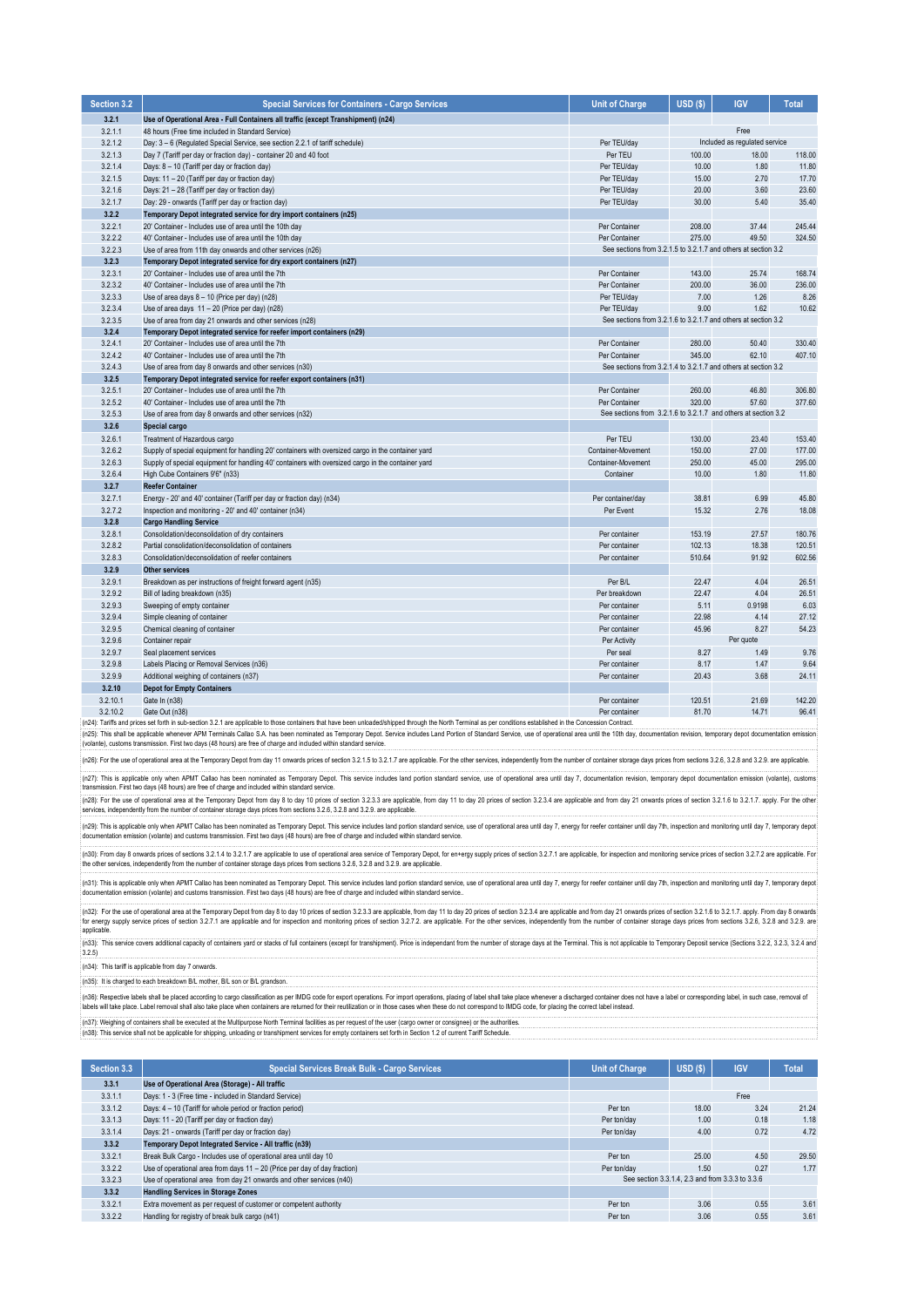| Section 3.2 | <b>Special Services for Containers - Cargo Services</b>                                                                                                                                                        | <b>Unit of Charge</b>                                          | $USD($ \$) | <b>IGV</b>                    | <b>Total</b> |
|-------------|----------------------------------------------------------------------------------------------------------------------------------------------------------------------------------------------------------------|----------------------------------------------------------------|------------|-------------------------------|--------------|
| 3.2.1       | Use of Operational Area - Full Containers all traffic (except Transhipment) (n24)                                                                                                                              |                                                                |            |                               |              |
| 3.2.1.1     | 48 hours (Free time included in Standard Service)                                                                                                                                                              |                                                                |            | Free                          |              |
| 3.2.1.2     | Day: 3 - 6 (Regulated Special Service, see section 2.2.1 of tariff schedule)                                                                                                                                   | Per TEU/day                                                    |            | Included as regulated service |              |
| 3.2.1.3     | Day 7 (Tariff per day or fraction day) - container 20 and 40 foot                                                                                                                                              | Per TEU                                                        | 100.00     | 18.00                         | 118.00       |
| 3.2.1.4     | Days: 8 - 10 (Tariff per day or fraction day)                                                                                                                                                                  | Per TEU/day                                                    | 10.00      | 1.80                          | 11.80        |
| 3.2.1.5     | Days: 11 - 20 (Tariff per day or fraction day)                                                                                                                                                                 | Per TEU/day                                                    | 15.00      | 2.70                          | 17.70        |
| 3.2.1.6     | Days: 21 - 28 (Tariff per day or fraction day)                                                                                                                                                                 | Per TEU/day                                                    | 20.00      | 3.60                          | 23.60        |
| 3.2.1.7     | Day: 29 - onwards (Tariff per day or fraction day)                                                                                                                                                             | Per TEU/day                                                    | 30.00      | 5.40                          | 35.40        |
| 3.2.2       | Temporary Depot integrated service for dry import containers (n25)                                                                                                                                             |                                                                |            |                               |              |
| 3.2.2.1     | 20' Container - Includes use of area until the 10th day                                                                                                                                                        | Per Container                                                  | 208.00     | 37.44                         | 245.44       |
| 3.2.2.2     | 40' Container - Includes use of area until the 10th day                                                                                                                                                        | Per Container                                                  | 275.00     | 49.50                         | 324.50       |
| 3.2.2.3     | Use of area from 11th day onwards and other services (n26)                                                                                                                                                     | See sections from 3.2.1.5 to 3.2.1.7 and others at section 3.2 |            |                               |              |
| 3.2.3       | Temporary Depot integrated service for dry export containers (n27)                                                                                                                                             |                                                                |            |                               |              |
| 3.2.3.1     | 20' Container - Includes use of area until the 7th                                                                                                                                                             | Per Container                                                  | 143.00     | 25.74                         | 168.74       |
| 3.2.3.2     | 40' Container - Includes use of area until the 7th                                                                                                                                                             | Per Container                                                  | 200.00     | 36.00                         | 236.00       |
| 3.2.3.3     | Use of area days 8 - 10 (Price per day) (n28)                                                                                                                                                                  | Per TEU/day                                                    | 7.00       | 1.26                          | 8.26         |
| 3.2.3.4     | Use of area days 11 - 20 (Price per day) (n28)                                                                                                                                                                 | Per TEU/day                                                    | 9.00       | 1.62                          | 10.62        |
| 3.2.3.5     | Use of area from day 21 onwards and other services (n28)                                                                                                                                                       | See sections from 3.2.1.6 to 3.2.1.7 and others at section 3.2 |            |                               |              |
| 3.2.4       | Temporary Depot integrated service for reefer import containers (n29)                                                                                                                                          |                                                                |            |                               |              |
| 3.2.4.1     | 20' Container - Includes use of area until the 7th                                                                                                                                                             | Per Container                                                  | 280.00     | 50.40                         | 330.40       |
| 3.2.4.2     | 40' Container - Includes use of area until the 7th                                                                                                                                                             | Per Container                                                  | 345.00     | 62.10                         | 407.10       |
| 3.2.4.3     | Use of area from day 8 onwards and other services (n30)                                                                                                                                                        | See sections from 3.2.1.4 to 3.2.1.7 and others at section 3.2 |            |                               |              |
| 3.2.5       | Temporary Depot integrated service for reefer export containers (n31)                                                                                                                                          |                                                                |            |                               |              |
| 3.2.5.1     | 20' Container - Includes use of area until the 7th                                                                                                                                                             | Per Container                                                  | 260.00     | 46.80                         | 306.80       |
| 3.2.5.2     | 40' Container - Includes use of area until the 7th                                                                                                                                                             | Per Container                                                  | 320.00     | 57.60                         | 377.60       |
| 3.2.5.3     | Use of area from day 8 onwards and other services (n32)                                                                                                                                                        | See sections from 3.2.1.6 to 3.2.1.7 and others at section 3.2 |            |                               |              |
| 3.2.6       | Special cargo                                                                                                                                                                                                  |                                                                |            |                               |              |
| 3.2.6.1     | Treatment of Hazardous cargo                                                                                                                                                                                   | Per TEU                                                        | 130.00     | 23.40                         | 153.40       |
| 3.2.6.2     | Supply of special equipment for handling 20' containers with oversized cargo in the container yard                                                                                                             | Container-Movement                                             | 150.00     | 27.00                         | 177.00       |
| 3.2.6.3     | Supply of special equipment for handling 40' containers with oversized cargo in the container yard                                                                                                             | Container-Movement                                             | 250.00     | 45.00                         | 295.00       |
| 3.2.6.4     | High Cube Containers 9'6" (n33)                                                                                                                                                                                | Container                                                      | 10.00      | 1.80                          | 11.80        |
| 3.2.7       | <b>Reefer Container</b>                                                                                                                                                                                        |                                                                |            |                               |              |
| 3.2.7.1     | Energy - 20' and 40' container (Tariff per day or fraction day) (n34)                                                                                                                                          | Per container/day                                              | 38.81      | 6.99                          | 45.80        |
| 3.2.7.2     | Inspection and monitoring - 20' and 40' container (n34)                                                                                                                                                        | Per Event                                                      | 15.32      | 2.76                          | 18.08        |
| 3.2.8       | <b>Cargo Handling Service</b>                                                                                                                                                                                  |                                                                |            |                               |              |
| 3.2.8.1     | Consolidation/deconsolidation of dry containers                                                                                                                                                                | Per container                                                  | 153.19     | 27.57                         | 180.76       |
| 3.2.8.2     | Partial consolidation/deconsolidation of containers                                                                                                                                                            | Per container                                                  | 102.13     | 18.38                         | 120.51       |
| 3.2.8.3     | Consolidation/deconsolidation of reefer containers                                                                                                                                                             | Per container                                                  | 510.64     | 91.92                         | 602.56       |
| 3.2.9       | <b>Other services</b>                                                                                                                                                                                          |                                                                |            |                               |              |
| 3.2.9.1     | Breakdown as per instructions of freight forward agent (n35)                                                                                                                                                   | Per B/L                                                        | 22.47      | 4.04                          | 26.51        |
| 3.2.9.2     | Bill of lading breakdown (n35)                                                                                                                                                                                 | Per breakdown                                                  | 22.47      | 4.04                          | 26.51        |
| 3.2.9.3     | Sweeping of empty container                                                                                                                                                                                    | Per container                                                  | 5.11       | 0.9198                        | 6.03         |
| 3.2.9.4     | Simple cleaning of container                                                                                                                                                                                   | Per container                                                  | 22.98      | 4.14                          | 27.12        |
| 3.2.9.5     | Chemical cleaning of container                                                                                                                                                                                 | Per container                                                  | 45.96      | 8.27                          | 54.23        |
| 3.2.9.6     | Container repair                                                                                                                                                                                               | Per Activity                                                   |            | Per quote                     |              |
| 3.2.9.7     | Seal placement services                                                                                                                                                                                        | Per seal                                                       | 8.27       | 1.49                          | 9.76         |
| 3.2.9.8     | Labels Placing or Removal Services (n36)                                                                                                                                                                       | Per container                                                  | 8.17       | 1.47                          | 9.64         |
| 3.2.9.9     | Additional weighing of containers (n37)                                                                                                                                                                        | Per container                                                  | 20.43      | 3.68                          | 24.11        |
| 3.2.10      | <b>Depot for Empty Containers</b>                                                                                                                                                                              |                                                                |            |                               |              |
| 3.2.10.1    | Gate In (n38)                                                                                                                                                                                                  | Per container                                                  | 120.51     | 21.69                         | 142.20       |
| 3.2.10.2    | Gate Out (n38)                                                                                                                                                                                                 | Per container                                                  | 81.70      | 14.71                         | 96.41        |
|             | n24): Tariffs and prices set forth in sub-section 3.2.1 are applicable to those containers that have been unloaded/shipped through the North Terminal as per conditions established in the Concession Contract |                                                                |            |                               |              |

(n25): This shall be applicable whenever APM Terminals Callao S.A. has been nominated as Temporary Depot. Service includes Land Portion of Standard Service, use of operational area until the 10th day, documentation ervisio

:<br>{(n26): For the use of operational area at the Temporary Depot from day 11 onwards prices of section 3.2.1.5 to 3.2.1.7 are applicable. For the other services, independently from the number of container storage days pric

(n27): This is applicable only when APMT Callao has been nominated as Temporary Depot. This service includes land portion standard service, use of operational area until day 7, documentation revision, temporary depot docum

(n28): For the use of operational area at the Temporary Depot from day 8 to day 10 prices of section 3.2.3. are applicable, from day 11 to day 20 prices of section 3.2.3.4 are applicable and from day 21 onwards prices of s

nce of man in the supplicable only when APMT Callao has been nominated as Temporary Depot. This service includes land portion standard service, use of operational area until day 7, energy for reefer container until day 7h, documentation emission (volante) and customs transmission. First two days (48 hours) are free of charge and included within standard service.

(n3D). From day 8 onwards prices of seculors 3.2.4 M b 3.2.1.7 are applicable to use of operational area service of Temprary Depot, for en-ergy supply prices of section 3.2.7.1 are applicable, for inspection and monitoring

(n31): This is applicable only when APMT Callao has been nominated as Temporary Depot. This service includes land portion standard service, use of operational area until day 7, energy for reefer container until day 7th, in

(n32): For the use of operational area at the Temporary Depot from day 8 to day 10 prices of section 3.2.3.3 are applicable, from day 10 to day 20 prices of section 3.2.3.4 are applicable, from day 10 today 20 prices of se for energy supply service prices of section 3.2.7.1 are applicable and for inspection and monitoring prices of section 3.2.7.2. are applicable. For the other services, independently from the number of container storage day applicat

(n34): This tariff is applicable from day 7 onwards. (n35): It is charged to each breakdown B/L mother, B/L son or B/L grandson. (n33): This service covers additional capacity of containers yard or stacks of full containers (except for transhipment). Price is independant from the number of storage days at the Terminal. This is not applicable to Temp  $3.2.5$ 

(n3b): Respective labels shall be placed acording to cargo classification as per IMDG code for export operations. For import operations, placing of label shall take place whenever a discharged containers are relumed for th 

(n37): Weighing of containers shall be executed at the Multipurpose North Terminal facilities as per request of the user (cargo owner or consignee) or the authorities.<br>(n38): This service shall not be applicable for shippi

| Section 3.3 | <b>Special Services Break Bulk - Cargo Services</b>                       | <b>Unit of Charge</b> | USD(S) | <b>IGV</b>                                       | <b>Total</b> |
|-------------|---------------------------------------------------------------------------|-----------------------|--------|--------------------------------------------------|--------------|
| 3.3.1       | Use of Operational Area (Storage) - All traffic                           |                       |        |                                                  |              |
| 3.3.1.1     | Days: 1 - 3 (Free time - included in Standard Service)                    |                       |        | Free                                             |              |
| 3.3.1.2     | Days: 4 - 10 (Tariff for whole period or fraction period)                 | Per ton               | 18.00  | 3.24                                             | 21.24        |
| 3.3.1.3     | Days: 11 - 20 (Tariff per day or fraction day)                            | Per ton/day           | 1.00   | 0.18                                             | 1.18         |
| 3.3.1.4     | Days: 21 - onwards (Tariff per day or fraction day)                       | Per ton/day           | 4.00   | 0.72                                             | 4.72         |
| 3.3.2       | Temporary Depot Integrated Service - All traffic (n39)                    |                       |        |                                                  |              |
| 3.3.2.1     | Break Bulk Cargo - Includes use of operational area until day 10          | Per ton               | 25.00  | 4.50                                             | 29.50        |
| 3.3.2.2     | Use of operational area from days 11 - 20 (Price per day of day fraction) | Per ton/day           | 1.50   | 0.27                                             | 1.77         |
| 3.3.2.3     | Use of operational area from day 21 onwards and other services (n40)      |                       |        | See section 3.3.1.4. 2.3 and from 3.3.3 to 3.3.6 |              |
| 3.3.2       | <b>Handling Services in Storage Zones</b>                                 |                       |        |                                                  |              |
| 3.3.2.1     | Extra movement as per request of customer or competent authority          | Per ton               | 3.06   | 0.55                                             | 3.61         |
| 3.3.2.2     | Handling for registry of break bulk cargo (n41)                           | Per ton               | 3.06   | 0.55                                             | 3.61         |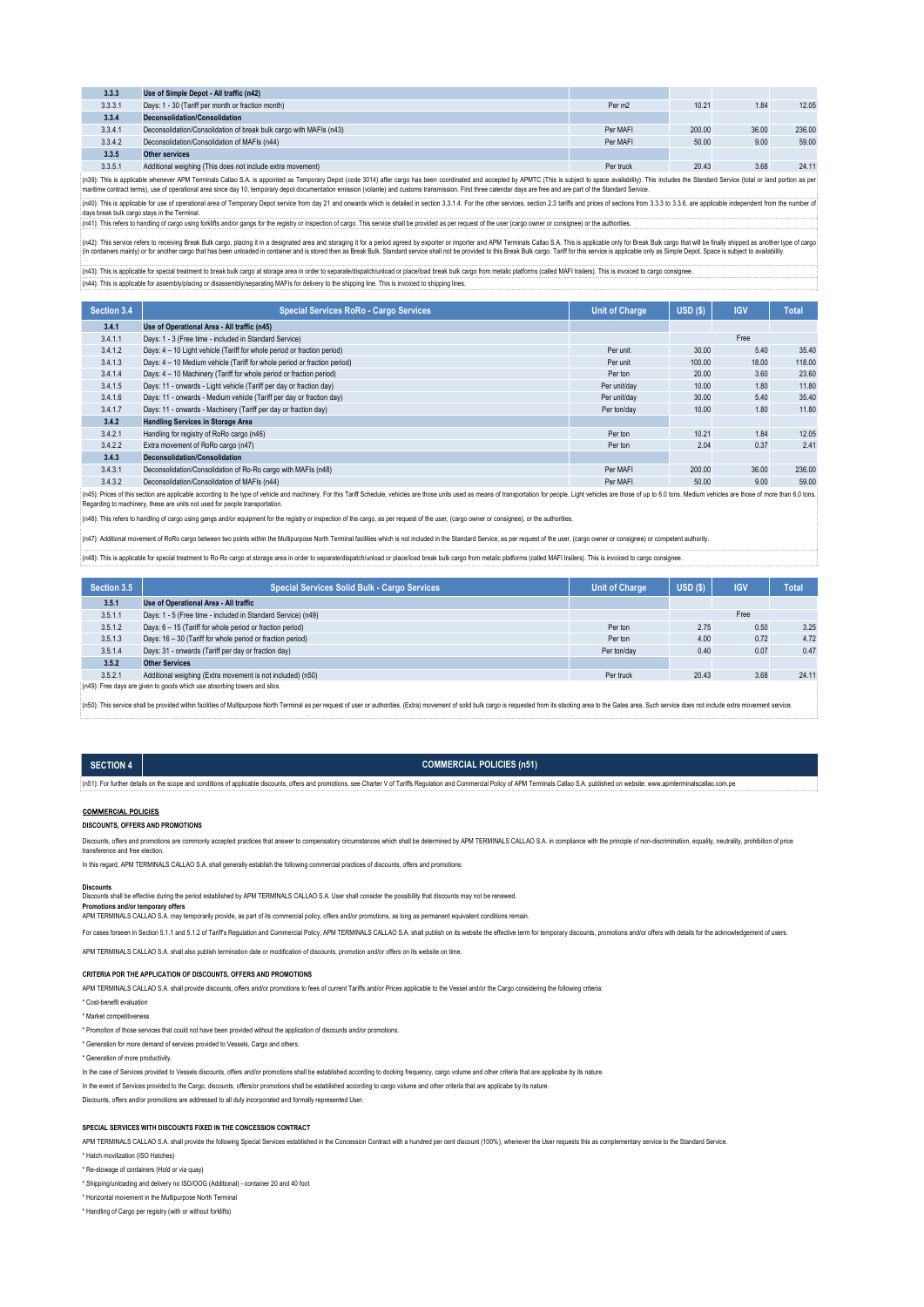| 3.3.3                                                                                                                                                                                                                                                                                                                                                                                                                                                           | Use of Simple Depot - All traffic (n42)                                                                                                                                                                                                                                        |                    |        |       |        |  |
|-----------------------------------------------------------------------------------------------------------------------------------------------------------------------------------------------------------------------------------------------------------------------------------------------------------------------------------------------------------------------------------------------------------------------------------------------------------------|--------------------------------------------------------------------------------------------------------------------------------------------------------------------------------------------------------------------------------------------------------------------------------|--------------------|--------|-------|--------|--|
| 3.3.3.1                                                                                                                                                                                                                                                                                                                                                                                                                                                         | Days: 1 - 30 (Tariff per month or fraction month)                                                                                                                                                                                                                              | Per m <sub>2</sub> | 10.21  | 1.84  | 12.05  |  |
| 3.3.4                                                                                                                                                                                                                                                                                                                                                                                                                                                           | Deconsolidation/Consolidation                                                                                                                                                                                                                                                  |                    |        |       |        |  |
| 3.3.4.1                                                                                                                                                                                                                                                                                                                                                                                                                                                         | Deconsolidation/Consolidation of break bulk cargo with MAFIs (n43)                                                                                                                                                                                                             | Per MAFI           | 200.00 | 36.00 | 236.00 |  |
| 3.3.4.2                                                                                                                                                                                                                                                                                                                                                                                                                                                         | Deconsolidation/Consolidation of MAFIs (n44)                                                                                                                                                                                                                                   | Per MAFI           | 50.00  | 9.00  | 59.00  |  |
| 3.3.5                                                                                                                                                                                                                                                                                                                                                                                                                                                           | <b>Other services</b>                                                                                                                                                                                                                                                          |                    |        |       |        |  |
| 3.3.5.1                                                                                                                                                                                                                                                                                                                                                                                                                                                         | Additional weighing (This does not include extra movement)                                                                                                                                                                                                                     | Per truck          | 20.43  | 3.68  | 24.11  |  |
| (n39): This is applicable whenever APM Terminals Callao S.A. is appointed as Temporary Depot (code 3014) after cargo has been coordinated and accepted by APMTC (This is subject to space availability). This includes the Sta<br>maritime contract terms), use of operational area since day 10, temporary depot documentation emission (volante) and customs transmission. First three calendar days are free and are part of the Standard Service.           |                                                                                                                                                                                                                                                                                |                    |        |       |        |  |
|                                                                                                                                                                                                                                                                                                                                                                                                                                                                 | (n40): This is applicable for use of operational area of Temporary Depot service from day 21 and onwards which is detailed in section 3.3.1.4. For the other services, section 2.3 tariffs and prices of sections from 3.3.3.6<br>days break bulk cargo stays in the Terminal. |                    |        |       |        |  |
|                                                                                                                                                                                                                                                                                                                                                                                                                                                                 | (n41): This refers to handling of cargo using forklifts and/or gangs for the registry or inspection of cargo. This service shall be provided as per request of the user (cargo owner or consignee) or the authorities.                                                         |                    |        |       |        |  |
| (n42): This service refers to receiving Break Bulk cargo, placing it in a designated area and storaging it for a period agreed by exporter or importer and APM Terminals Callao S.A. This is applicable only for Break Bulk ca<br>(in containers mainly) or for another cargo that has been unloaded in container and is stored then as Break Bulk. Standard service shall not be provided to this Break Bulk cargo. Tariff for this service is applicable only |                                                                                                                                                                                                                                                                                |                    |        |       |        |  |
| (n43): This is applicable for special treatment to break bulk cargo at storage area in order to separate/dispatch/unload or place/load break bulk cargo from metalic platforms (called MAFI trailers). This is invoiced to car                                                                                                                                                                                                                                  |                                                                                                                                                                                                                                                                                |                    |        |       |        |  |

**Section 3.4 Special Services RoRo - Cargo Services Unit of Charge USD (\$) IGV Total 3.4.1 Use of Operational Area - All traffic (n45)** 3.4.1.1 Days: 1 - 3 (Free time - included in Standard Service) Free (n44): This is applicable for assembly/placing or disassembly/separating MAFIs for delivery to the shipping line. This is invoiced to shipping lines.

| 3.7.1.1 | Days. I - J (1166 time - included in Jianuard Jervice)                   |              | $\overline{\phantom{a}}$ |       |        |
|---------|--------------------------------------------------------------------------|--------------|--------------------------|-------|--------|
| 3.4.1.2 | Days: 4 - 10 Light vehicle (Tariff for whole period or fraction period)  | Per unit     | 30.00                    | 5.40  | 35.40  |
| 3.4.1.3 | Days: 4 - 10 Medium vehicle (Tariff for whole period or fraction period) | Per unit     | 100.00                   | 18.00 | 118.00 |
| 3.4.1.4 | Days: 4 - 10 Machinery (Tariff for whole period or fraction period)      | Per ton      | 20.00                    | 3.60  | 23.60  |
| 3.4.1.5 | Days: 11 - onwards - Light vehicle (Tariff per day or fraction day)      | Per unit/dav | 10.00                    | 1.80  | 11.80  |
| 3.4.1.6 | Days: 11 - onwards - Medium vehicle (Tariff per day or fraction day)     | Per unit/dav | 30.00                    | 5.40  | 35.40  |
| 3.4.1.7 | Days: 11 - onwards - Machinery (Tariff per day or fraction day)          | Per ton/day  | 10.00                    | 1.80  | 11.80  |
| 3.4.2   | <b>Handling Services in Storage Area</b>                                 |              |                          |       |        |
| 3.4.2.1 | Handling for registry of RoRo cargo (n46)                                | Per ton      | 10.21                    | 1.84  | 12.05  |
| 3.4.2.2 | Extra movement of RoRo cargo (n47)                                       | Per ton      | 2.04                     | 0.37  | 2.41   |
| 3.4.3   | <b>Deconsolidation/Consolidation</b>                                     |              |                          |       |        |
| 3.4.3.1 | Deconsolidation/Consolidation of Ro-Ro cargo with MAFIs (n48)            | Per MAFI     | 200.00                   | 36.00 | 236.00 |
| 3.4.3.2 | Deconsolidation/Consolidation of MAFIs (n44)                             | Per MAFI     | 50.00                    | 9.00  | 59.00  |

:<br>: (n45): Prices of this section are applicable according to the type of vehicle and machinery. For this Tariff Schedule, vehicles are those units used as means of transportation for people. I ight vehicles are those of u Regarding to machinery, these are units not used for people transportation.

i<br>{|n46): This refers to handling of cargo using gangs and/or equipment for the registry or inspection of the cargo, as per request of the user, (cargo owner or consignee), or the authorities.

(n47): Additional movement of RoRo cargo between two points within the Multipurpose North Terminal facilities which is not included in the Standard Service, as per request of the user, (cargo owner or consignee) or compete

(n48): This is applicable for special treatment to Ro-Ro cargo at storage area in order to separate/dispatch/unload or place/load break bulk cargo from metalic platforms (called MAFI trailers). This is invoiced to cargo co

| Section 3.5                                                               | <b>Special Services Solid Bulk - Cargo Services</b>          | <b>Unit of Charge</b> | USD(S) | <b>IGV</b> | Total |  |
|---------------------------------------------------------------------------|--------------------------------------------------------------|-----------------------|--------|------------|-------|--|
| 3.5.1                                                                     | Use of Operational Area - All traffic                        |                       |        |            |       |  |
| 3.5.1.1                                                                   | Days: 1 - 5 (Free time - included in Standard Service) (n49) |                       |        | Free       |       |  |
| 3.5.1.2                                                                   | Days: 6 - 15 (Tariff for whole period or fraction period)    | Per ton               | 2.75   | 0.50       | 3.25  |  |
| 3.5.1.3                                                                   | Days: 16 - 30 (Tariff for whole period or fraction period)   | Per ton               | 4.00   | 0.72       | 4.72  |  |
| 3.5.1.4                                                                   | Days: 31 - onwards (Tariff per day or fraction day)          | Per ton/day           | 0.40   | 0.07       | 0.47  |  |
| 3.5.2                                                                     | <b>Other Services</b>                                        |                       |        |            |       |  |
| 3.5.2.1                                                                   | Additional weighing (Extra movement is not included) (n50)   | Per truck             | 20.43  | 3.68       | 24.11 |  |
| (n49): Free days are given to goods which use absorbing towers and silos. |                                                              |                       |        |            |       |  |

(n50): This service shall be provided within facilities of Multipurpose North Terminal as per request of user or authorities. (Extra) movement of solid bulk cargo is requested from its stacking area to the Gales area. Such

**SECTION 4** 

### **COMMERCIAL POLICIES (n51)**

(n51): For further details on the scope and conditions of applicable discounts, offers and promotions, see Charter V of Tariffs Regulation and Commercial Policy of APM Terminals Callao S.A. published on website: www.apmter

# COMMERCIAL POLICIES

#### **DISCOUNTS, OFFERS AND PROMOTIONS**

Discounts, offers and promotions are commonly accepted practices that answer to compensatory circumstances which shall be determined by APM TERMINALS CALLAO S.A. in compliance with the principle of non-discrimination, equa

### transference and free election.

In this regard, APM TERMINALS CALLAO S.A. shall generally establish the following commercial practices of discounts, offers and promotions:

**Discounts** Discounts shall be effective during the period established by APM TERMINALS CALLAO S.A. User shall consider the possibility that discounts may not be renewed.

# **Promotions and/or temporary offers**

APM TERMINALS CALLAO S.A. may temporarily provide, as part of its commercial policy, offers and/or promotions, as long as permanent equivalent conditions remain.

For cases forseen in Section 5.1.1 and 5.1.2 of Tariff's Regulation and Commercial Policy, APM TERMINALS CALLAO S.A. shall publish on its website the effective term for temporary discounts, promotions and/or offers with de

APM TERMINALS CALLAO S.A. shall also publish termination date or modification of discounts, promotion and/or offers on its website on time

#### **CRITERIA POR THE APPLICATION OF DISCOUNTS, OFFERS AND PROMOTIONS**

APM TERMINALS CALLAO S.A. shall provide discounts, offers and/or promotions to fees of current Tariffs and/or Prices applicable to the Vessel and/or the Cargo considering the following criteria:

# \* Cost-benefit evaluation

\* Market competitiveness

\* Promotion of those services that could not have been provided without the application of discounts and/or promotions.

\* Generation for more demand of services provided to Vessels, Cargo and others.

#### \* Generation of more productivity.

In the case of Services provided to Vessels discounts, offers and/or promotions shall be established according to docking frequency, cargo volume and other criteria that are applicabe by its nature

In the event of Services provided to the Cargo, discounts, offers/or promotions shall be established according to cargo volume and other criteria that are applicabe by its nature.

Discounts, offers and/or promotions are addressed to all duly incorporated and formally represented User.

### **SPECIAL SERVICES WITH DISCOUNTS FIXED IN THE CONCESSION CONTRACT**

APM TERMINALS CALLAO S.A. shall provide the following Special Services established in the Concession Contract with a hundred per cent discount (100%), whenever the User requests this as complementary service to the Standar

# \* Hatch movilization (ISO Hatches)

\* Re-stowage of containers (Hold or via quay)

\* Shipping/unloading and delivery no ISO/OOG (Additional) - container 20 and 40 foot

\* Horizontal movement in the Multipurpose North Terminal

\* Handling of Cargo per registry (with or without forklifts)